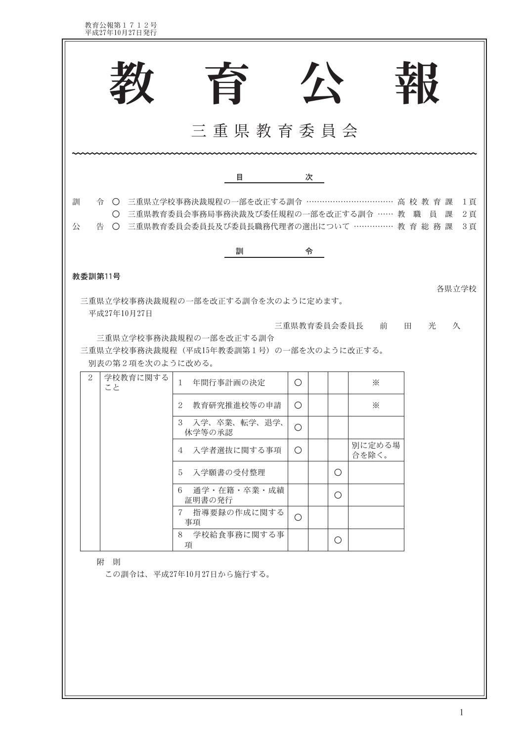教育公報第1712号<br>平成27年10月27日発行

|                                 | 旨                                                                                                                                                  |             | 小 |   |                 | 珞               |                   |
|---------------------------------|----------------------------------------------------------------------------------------------------------------------------------------------------|-------------|---|---|-----------------|-----------------|-------------------|
|                                 |                                                                                                                                                    |             |   |   |                 |                 |                   |
|                                 | 三重県教育委員会                                                                                                                                           |             |   |   |                 |                 |                   |
|                                 | 目                                                                                                                                                  |             | 次 |   |                 |                 |                   |
| 訓<br>公                          | 令 ○ 三重県立学校事務決裁規程の一部を改正する訓令 …………………………… 高 校 教 育 課<br>○ 三重県教育委員会事務局事務決裁及び委任規程の一部を改正する訓令 …… 教 職 員<br>告 ○ 三重県教育委員会委員長及び委員長職務代理者の選出について …………… 教 育 総 務 課 |             |   |   |                 | 課               | 1頁<br>$2$ 頁<br>3頁 |
|                                 | 訓                                                                                                                                                  |             | 令 |   |                 |                 |                   |
| 教委訓第11号                         |                                                                                                                                                    |             |   |   |                 |                 | 各県立学校             |
| 平成27年10月27日<br>別表の第2項を次のように改める。 | 三重県立学校事務決裁規程の一部を改正する訓令を次のように定めます。<br>三重県立学校事務決裁規程の一部を改正する訓令<br>三重県立学校事務決裁規程 (平成15年教委訓第1号) の一部を次のように改正する。                                           | 三重県教育委員会委員長 |   |   | 前               | $\boxplus$<br>光 | 久                 |
| 2<br>学校教育に関する<br>こと             | 年間行事計画の決定<br>$\mathbf{1}$                                                                                                                          | $\circ$     |   |   | $\cdot$         |                 |                   |
|                                 | 教育研究推進校等の申請<br>2                                                                                                                                   | $\bigcirc$  |   |   | $\cdot$         |                 |                   |
|                                 | 入学、卒業、転学、退学、<br>3<br>休学等の承認                                                                                                                        | $\bigcirc$  |   |   |                 |                 |                   |
|                                 | 入学者選抜に関する事項<br>4                                                                                                                                   | $\bigcirc$  |   |   | 別に定める場<br>合を除く。 |                 |                   |
|                                 | 入学願書の受付整理<br>5                                                                                                                                     |             |   | O |                 |                 |                   |
|                                 | 通学・在籍・卒業・成績<br>6<br>証明書の発行                                                                                                                         |             |   | O |                 |                 |                   |
|                                 | 指導要録の作成に関する<br>$\mathcal T$<br>事項                                                                                                                  | $\bigcirc$  |   |   |                 |                 |                   |
|                                 | 8 学校給食事務に関する事<br>項                                                                                                                                 |             |   | O |                 |                 |                   |
| 附 則                             | この訓令は、平成27年10月27日から施行する。                                                                                                                           |             |   |   |                 |                 |                   |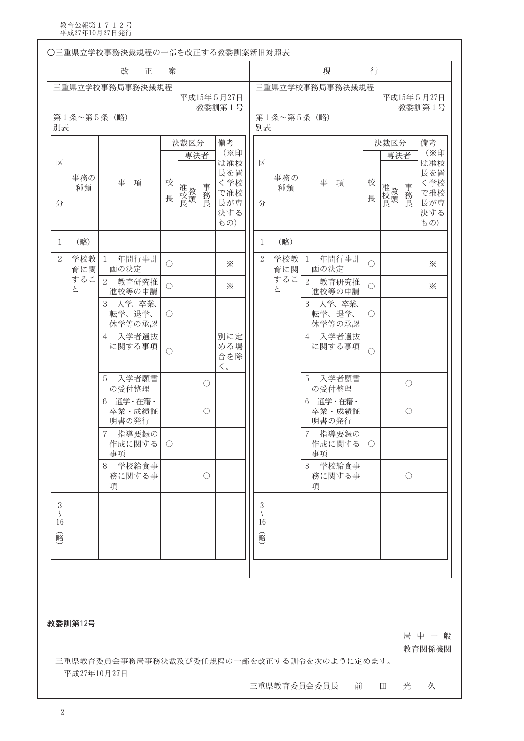教育公報第1712号<br>平成27年10月27日発行

| 改<br>現<br>行<br>正<br>案<br>三重県立学校事務局事務決裁規程<br>三重県立学校事務局事務決裁規程<br>平成15年5月27日<br>教委訓第1号<br>第1条~第5条 (略)<br>第1条~第5条 (略)<br>別表<br>別表<br>備考<br>決裁区分<br>決裁区分<br>(※印<br>専決者<br>専決者<br>区<br>は准校<br>区<br>長を置<br>事務の<br>事務の<br>校<br>事<br>校<br>事<br>く学校<br>項<br>項<br>事務長<br>准校頭<br>准校<br>聂<br>長<br>種類<br>種類<br>で准校<br>長<br>長<br>長が専<br>分<br>分<br>決する<br>もの)<br>(略)<br>(略)<br>1<br>1<br>年間行事計<br>年間行事計<br>$\sqrt{2}$<br>$\overline{2}$<br>学校教<br>学校教<br>1<br>$\mathbf{1}$<br>⋇<br>Ω<br>$\bigcirc$<br>育に関<br>画の決定<br>育に関<br>画の決定<br>するこ<br>するこ<br>$\sqrt{2}$<br>$\overline{2}$<br>教育研究推<br>教育研究推<br>$\bigcirc$<br>$\cdot$<br>$\bigcirc$<br>と<br>と<br>進校等の申請<br>進校等の申請<br>入学、卒業、<br>入学、卒業、<br>3<br>3<br>転学、退学、<br>転学、退学、<br>O<br>$\circlearrowright$<br>休学等の承認<br>休学等の承認<br>入学者選抜<br>別に定<br>入学者選抜<br>4<br>4<br>める場<br>に関する事項<br>に関する事項<br>$\bigcirc$<br>$\bigcirc$<br>合を除<br>$\langle \rangle$<br>入学者願書<br>入学者願書<br>5<br>5<br>O<br>の受付整理<br>の受付整理<br>通学・在籍・<br>通学・在籍・<br>6<br>6<br>卒業·成績証<br>卒業·成績証<br>Ω<br>明書の発行<br>明書の発行<br>指導要録の<br>7 指導要録の<br>$\mathbf 7$<br>作成に関する<br>作成に関する<br>$\circlearrowright$<br>$\bigcirc$<br>事項<br>事項<br>8<br>学校給食事<br>8 学校給食事<br>務に関する事<br>務に関する事<br>$\bigcirc$<br>項<br>項 | 平成15年5月27日<br>教委訓第1号<br>備考<br>(※印<br>は准校<br>長を置 |
|----------------------------------------------------------------------------------------------------------------------------------------------------------------------------------------------------------------------------------------------------------------------------------------------------------------------------------------------------------------------------------------------------------------------------------------------------------------------------------------------------------------------------------------------------------------------------------------------------------------------------------------------------------------------------------------------------------------------------------------------------------------------------------------------------------------------------------------------------------------------------------------------------------------------------------------------------------------------------------------------------------------------------------------------------------------------------------------------------------------------------------------------------------------------------------------|-------------------------------------------------|
|                                                                                                                                                                                                                                                                                                                                                                                                                                                                                                                                                                                                                                                                                                                                                                                                                                                                                                                                                                                                                                                                                                                                                                                        |                                                 |
|                                                                                                                                                                                                                                                                                                                                                                                                                                                                                                                                                                                                                                                                                                                                                                                                                                                                                                                                                                                                                                                                                                                                                                                        |                                                 |
|                                                                                                                                                                                                                                                                                                                                                                                                                                                                                                                                                                                                                                                                                                                                                                                                                                                                                                                                                                                                                                                                                                                                                                                        |                                                 |
|                                                                                                                                                                                                                                                                                                                                                                                                                                                                                                                                                                                                                                                                                                                                                                                                                                                                                                                                                                                                                                                                                                                                                                                        | く学校                                             |
|                                                                                                                                                                                                                                                                                                                                                                                                                                                                                                                                                                                                                                                                                                                                                                                                                                                                                                                                                                                                                                                                                                                                                                                        | 事務長<br>で准校<br>長が専<br>決する<br>もの)                 |
|                                                                                                                                                                                                                                                                                                                                                                                                                                                                                                                                                                                                                                                                                                                                                                                                                                                                                                                                                                                                                                                                                                                                                                                        |                                                 |
|                                                                                                                                                                                                                                                                                                                                                                                                                                                                                                                                                                                                                                                                                                                                                                                                                                                                                                                                                                                                                                                                                                                                                                                        | ⋇                                               |
|                                                                                                                                                                                                                                                                                                                                                                                                                                                                                                                                                                                                                                                                                                                                                                                                                                                                                                                                                                                                                                                                                                                                                                                        | ⋇                                               |
|                                                                                                                                                                                                                                                                                                                                                                                                                                                                                                                                                                                                                                                                                                                                                                                                                                                                                                                                                                                                                                                                                                                                                                                        |                                                 |
|                                                                                                                                                                                                                                                                                                                                                                                                                                                                                                                                                                                                                                                                                                                                                                                                                                                                                                                                                                                                                                                                                                                                                                                        |                                                 |
|                                                                                                                                                                                                                                                                                                                                                                                                                                                                                                                                                                                                                                                                                                                                                                                                                                                                                                                                                                                                                                                                                                                                                                                        | O                                               |
|                                                                                                                                                                                                                                                                                                                                                                                                                                                                                                                                                                                                                                                                                                                                                                                                                                                                                                                                                                                                                                                                                                                                                                                        | O                                               |
|                                                                                                                                                                                                                                                                                                                                                                                                                                                                                                                                                                                                                                                                                                                                                                                                                                                                                                                                                                                                                                                                                                                                                                                        |                                                 |
|                                                                                                                                                                                                                                                                                                                                                                                                                                                                                                                                                                                                                                                                                                                                                                                                                                                                                                                                                                                                                                                                                                                                                                                        | O                                               |
| $\sqrt{3}$<br>3<br>$\mathcal{S}_{\mathcal{S}}$<br>$\zeta$<br>16<br>16<br>峪<br>略                                                                                                                                                                                                                                                                                                                                                                                                                                                                                                                                                                                                                                                                                                                                                                                                                                                                                                                                                                                                                                                                                                        |                                                 |
| 教委訓第12号                                                                                                                                                                                                                                                                                                                                                                                                                                                                                                                                                                                                                                                                                                                                                                                                                                                                                                                                                                                                                                                                                                                                                                                | 局中一般<br>教育関係機関                                  |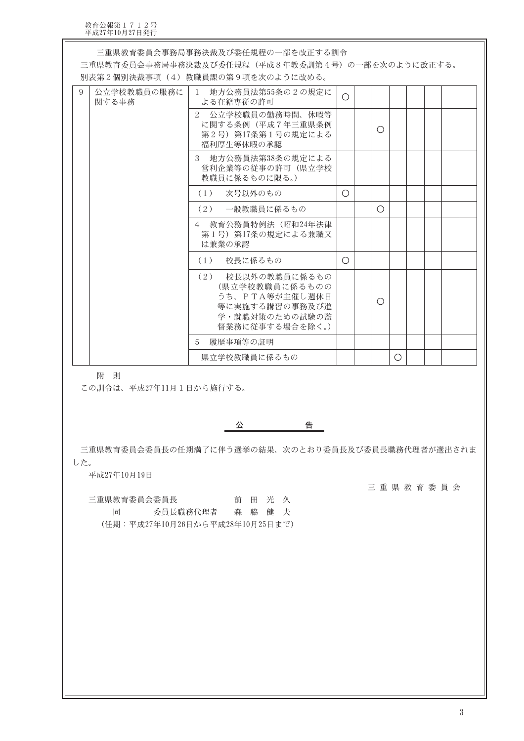教育公報第1712号<br>平成27年10月27日発行

|   |                      | 三重県教育委員会事務局事務決裁及び委任規程の一部を改正する訓令<br>三重県教育委員会事務局事務決裁及び委任規程(平成8年教委訓第4号)の一部を次のように改正する。<br>別表第2個別決裁事項(4)教職員課の第9項を次のように改める。 |            |   |            |  |  |
|---|----------------------|-----------------------------------------------------------------------------------------------------------------------|------------|---|------------|--|--|
| 9 | 公立学校教職員の服務に<br>関する事務 | 地方公務員法第55条の2の規定に<br>$\overline{1}$<br>よる在籍専従の許可                                                                       | $\bigcirc$ |   |            |  |  |
|   |                      | $2^{1}$<br>公立学校職員の勤務時間、休暇等<br>に関する条例 (平成7年三重県条例<br>第2号) 第17条第1号の規定による<br>福利厚生等休暇の承認                                   |            | Ο |            |  |  |
|   |                      | - 地方公務員法第38条の規定による<br>3<br>営利企業等の従事の許可(県立学校<br>教職員に係るものに限る。)                                                          |            |   |            |  |  |
|   |                      | 次号以外のもの<br>(1)                                                                                                        | ◯          |   |            |  |  |
|   |                      | (2)<br>一般教職員に係るもの                                                                                                     |            | ∩ |            |  |  |
|   |                      | 4 教育公務員特例法 (昭和24年法律<br>第1号) 第17条の規定による兼職又<br>は兼業の承認                                                                   |            |   |            |  |  |
|   |                      | 校長に係るもの<br>(1)                                                                                                        | $\bigcirc$ |   |            |  |  |
|   |                      | 校長以外の教職員に係るもの<br>(2)<br>(県立学校教職員に係るものの<br>うち、PTA等が主催し週休日<br>等に実施する講習の事務及び進<br>学・就職対策のための試験の監<br>督業務に従事する場合を除く。)       |            | Ο |            |  |  |
|   |                      | 履歴事項等の証明<br>5                                                                                                         |            |   |            |  |  |
|   |                      | 県立学校教職員に係るもの                                                                                                          |            |   | $\bigcirc$ |  |  |

附 則

この訓令は、平成27年11月1日から施行する。

- 台湾の - 台湾 公

三重県教育委員会委員長の任期満了に伴う選挙の結果、次のとおり委員長及び委員長職務代理者が選出されま した。

平成27年10月19日

三重県教育委員会

三重県教育委員会委員長 前田光久 委員長職務代理者 森 脇 健 夫 同 (任期:平成27年10月26日から平成28年10月25日まで)